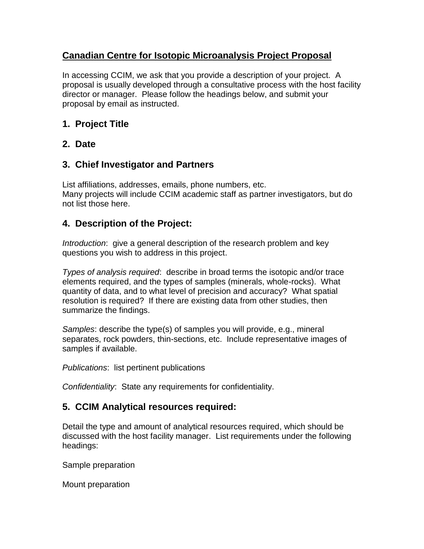# **Canadian Centre for Isotopic Microanalysis Project Proposal**

In accessing CCIM, we ask that you provide a description of your project. A proposal is usually developed through a consultative process with the host facility director or manager. Please follow the headings below, and submit your proposal by email as instructed.

## **1. Project Title**

## **2. Date**

# **3. Chief Investigator and Partners**

List affiliations, addresses, emails, phone numbers, etc. Many projects will include CCIM academic staff as partner investigators, but do not list those here.

## **4. Description of the Project:**

*Introduction*: give a general description of the research problem and key questions you wish to address in this project.

*Types of analysis required*: describe in broad terms the isotopic and/or trace elements required, and the types of samples (minerals, whole-rocks). What quantity of data, and to what level of precision and accuracy? What spatial resolution is required? If there are existing data from other studies, then summarize the findings.

*Samples*: describe the type(s) of samples you will provide, e.g., mineral separates, rock powders, thin-sections, etc. Include representative images of samples if available.

*Publications*: list pertinent publications

*Confidentiality*: State any requirements for confidentiality.

# **5. CCIM Analytical resources required:**

Detail the type and amount of analytical resources required, which should be discussed with the host facility manager. List requirements under the following headings:

Sample preparation

Mount preparation